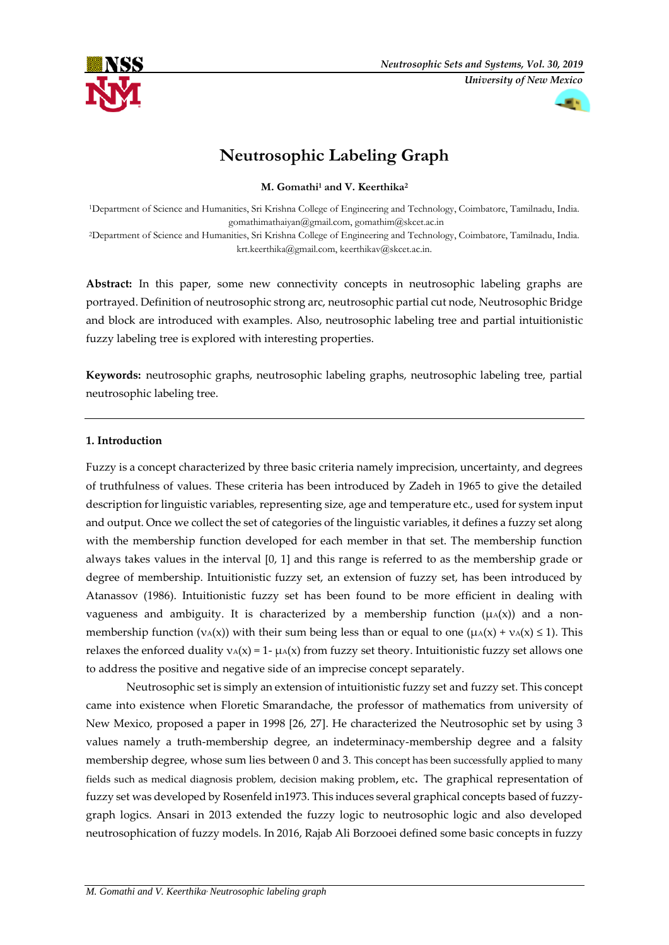



# **Neutrosophic Labeling Graph**

**M. Gomathi<sup>1</sup> and V. Keerthika<sup>2</sup>**

<sup>1</sup>Department of Science and Humanities, Sri Krishna College of Engineering and Technology, Coimbatore, Tamilnadu, India. gomathimathaiyan@gmail.com, gomathim@skcet.ac.in <sup>2</sup>Department of Science and Humanities, Sri Krishna College of Engineering and Technology, Coimbatore, Tamilnadu, India. krt.keerthika@gmail.com, keerthikav@skcet.ac.in.

Abstract: In this paper, some new connectivity concepts in neutrosophic labeling graphs are portrayed. Definition of neutrosophic strong arc, neutrosophic partial cut node, Neutrosophic Bridge and block are introduced with examples. Also, neutrosophic labeling tree and partial intuitionistic fuzzy labeling tree is explored with interesting properties.

**Keywords:** neutrosophic graphs, neutrosophic labeling graphs, neutrosophic labeling tree, partial neutrosophic labeling tree.

# **1. Introduction**

Fuzzy is a concept characterized by three basic criteria namely imprecision, uncertainty, and degrees of truthfulness of values. These criteria has been introduced by Zadeh in 1965 to give the detailed description for linguistic variables, representing size, age and temperature etc., used for system input and output. Once we collect the set of categories of the linguistic variables, it defines a fuzzy set along with the membership function developed for each member in that set. The membership function always takes values in the interval [0, 1] and this range is referred to as the membership grade or degree of membership. Intuitionistic fuzzy set, an extension of fuzzy set, has been introduced by Atanassov (1986). Intuitionistic fuzzy set has been found to be more efficient in dealing with vagueness and ambiguity. It is characterized by a membership function  $(\mu(A)(x))$  and a nonmembership function ( $v_A(x)$ ) with their sum being less than or equal to one ( $\mu_A(x) + \nu_A(x) \le 1$ ). This relaxes the enforced duality  $v_A(x) = 1 - \mu_A(x)$  from fuzzy set theory. Intuitionistic fuzzy set allows one to address the positive and negative side of an imprecise concept separately.

Neutrosophic set is simply an extension of intuitionistic fuzzy set and fuzzy set. This concept came into existence when Floretic Smarandache, the professor of mathematics from university of New Mexico, proposed a paper in 1998 [26, 27]. He characterized the Neutrosophic set by using 3 values namely a truth-membership degree, an indeterminacy-membership degree and a falsity membership degree, whose sum lies between 0 and 3. This concept has been successfully applied to many fields such as medical diagnosis problem, decision making problem**,** etc. The graphical representation of fuzzy set was developed by Rosenfeld in1973. This induces several graphical concepts based of fuzzygraph logics. Ansari in 2013 extended the fuzzy logic to neutrosophic logic and also developed neutrosophication of fuzzy models. In 2016, Rajab Ali Borzooei defined some basic concepts in fuzzy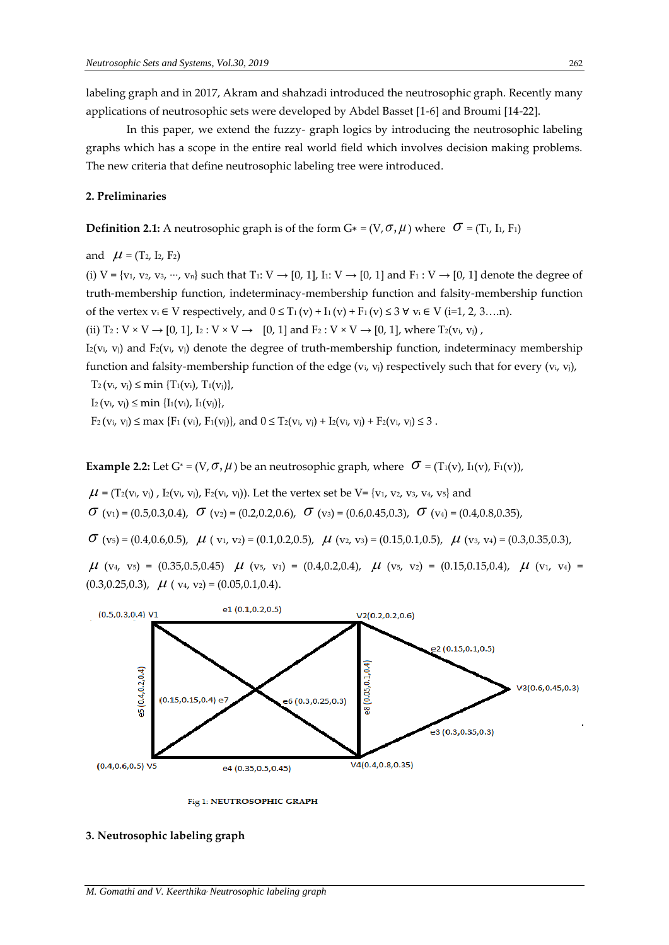labeling graph and in 2017, Akram and shahzadi introduced the neutrosophic graph. Recently many applications of neutrosophic sets were developed by Abdel Basset [1-6] and Broumi [14-22].

In this paper, we extend the fuzzy- graph logics by introducing the neutrosophic labeling graphs which has a scope in the entire real world field which involves decision making problems. The new criteria that define neutrosophic labeling tree were introduced.

### **2. Preliminaries**

**Definition 2.1:** A neutrosophic graph is of the form  $G^* = (V, \sigma, \mu)$  where  $\sigma = (T_1, I_1, F_1)$ 

and  $\mu$  = (T<sub>2</sub>, I<sub>2</sub>, F<sub>2</sub>)

(i)  $V = \{v_1, v_2, v_3, \dots, v_n\}$  such that T<sub>1</sub>:  $V \rightarrow [0, 1]$ , I<sub>1</sub>:  $V \rightarrow [0, 1]$  and F<sub>1</sub>:  $V \rightarrow [0, 1]$  denote the degree of truth-membership function, indeterminacy-membership function and falsity-membership function of the vertex  $v_i \in V$  respectively, and  $0 \leq T_1(v) + I_1(v) + F_1(v) \leq 3 \forall v_i \in V$  (i=1, 2, 3….n).

(ii)  $T_2: V \times V \rightarrow [0, 1], I_2: V \times V \rightarrow [0, 1]$  and  $F_2: V \times V \rightarrow [0, 1],$  where  $T_2(v_i, v_j)$ ,

 $I_2(v_i, v_j)$  and  $F_2(v_i, v_j)$  denote the degree of truth-membership function, indeterminacy membership function and falsity-membership function of the edge  $(v_i, v_j)$  respectively such that for every  $(v_i, v_j)$ ,

 $T_2$ (v<sub>i</sub>, v<sub>j</sub>)  $\leq$  min {T<sub>1</sub>(v<sub>i</sub>), T<sub>1</sub>(v<sub>j</sub>)},

 $I_2$ (v<sub>i</sub>, v<sub>j</sub>)  $\leq$  min { $I_1$ (v<sub>i</sub>),  $I_1$ (v<sub>j</sub>)},

 $F_2$  ( $v_i$ ,  $v_j$ )  $\leq$  max { $F_1$  ( $v_i$ ),  $F_1(v_j)$ }, and  $0 \leq T_2(v_i, v_j) + T_2(v_i, v_j) + F_2(v_i, v_j) \leq 3$ .

**Example 2.2:** Let  $G^* = (V, \sigma, \mu)$  be an neutrosophic graph, where  $\sigma = (T_1(v), T_1(v), F_1(v))$ ,

 $\mu$  = (T2(vi, vj) , I2(vi, vj), F2(vi, vj)). Let the vertex set be V= {v1, v2, v3, v4, v5} and

 $\sigma$  (v<sub>1</sub>) = (0.5,0.3,0.4),  $\sigma$  (v<sub>2</sub>) = (0.2,0.2,0.6),  $\sigma$  (v<sub>3</sub>) = (0.6,0.45,0.3),  $\sigma$  (v<sub>4</sub>) = (0.4,0.8,0.35),

 $\sigma$  (v<sub>5</sub>) = (0.4,0.6,0.5),  $\mu$  (v<sub>1</sub>, v<sub>2</sub>) = (0.1,0.2,0.5),  $\mu$  (v<sub>2</sub>, v<sub>3</sub>) = (0.15,0.1,0.5),  $\mu$  (v<sub>3</sub>, v<sub>4</sub>) = (0.3,0.35,0.3),

 $\mu$  (v<sub>4</sub>, v<sub>5</sub>) = (0.35,0.5,0.45)  $\mu$  (v<sub>5</sub>, v<sub>1</sub>) = (0.4,0.2,0.4),  $\mu$  (v<sub>5</sub>, v<sub>2</sub>) = (0.15,0.15,0.4),  $\mu$  (v<sub>1</sub>, v<sub>4</sub>) =  $(0.3, 0.25, 0.3), \mu (v_4, v_2) = (0.05, 0.1, 0.4).$ 



Fig 1: NEUTROSOPHIC GRAPH

### **3. Neutrosophic labeling graph**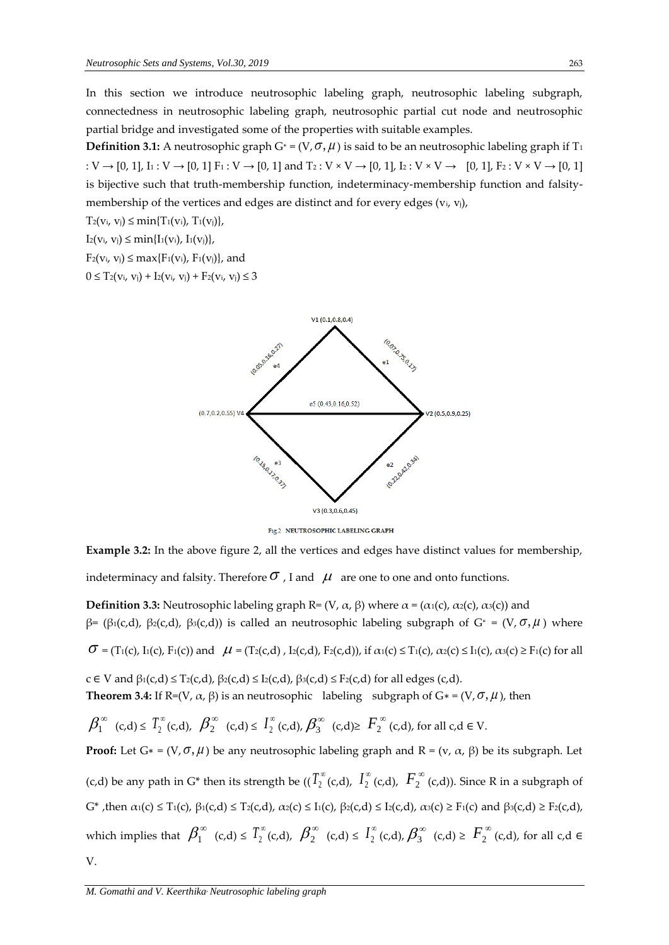In this section we introduce neutrosophic labeling graph, neutrosophic labeling subgraph, connectedness in neutrosophic labeling graph, neutrosophic partial cut node and neutrosophic partial bridge and investigated some of the properties with suitable examples.

**Definition 3.1:** A neutrosophic graph  $G^* = (V, \sigma, \mu)$  is said to be an neutrosophic labeling graph if T<sub>1</sub> :  $V \rightarrow [0, 1]$ ,  $I_1 : V \rightarrow [0, 1]$   $F_1 : V \rightarrow [0, 1]$  and  $T_2 : V \times V \rightarrow [0, 1]$ ,  $I_2 : V \times V \rightarrow [0, 1]$ ,  $F_2 : V \times V \rightarrow [0, 1]$ is bijective such that truth-membership function, indeterminacy-membership function and falsitymembership of the vertices and edges are distinct and for every edges  $(v_i, v_j)$ ,

 $T_2(v_i, v_j) \leq \min\{T_1(v_i), T_1(v_j)\},$ 

 $I_2(v_i, v_j) \leq min\{I_1(v_i), I_1(v_j)\},$ 

 $F_2(v_i, v_j) \leq max{F_1(v_i), F_1(v_j)}$ , and

 $0 \leq T_2(v_i, v_j) + I_2(v_i, v_j) + F_2(v_i, v_j) \leq 3$ 



Fig.2 NEUTROSOPHIC LABELING GRAPH

**Example 3.2:** In the above figure 2, all the vertices and edges have distinct values for membership, indeterminacy and falsity. Therefore  $\sigma$  , I and  $\ \mu \,$  are one to one and onto functions.

**Definition 3.3:** Neutrosophic labeling graph R=  $(V, \alpha, \beta)$  where  $\alpha = (\alpha_1(c), \alpha_2(c), \alpha_3(c))$  and β= (β1(c,d), β2(c,d), β3(c,d)) is called an neutrosophic labeling subgraph of  $G^* = (V, \sigma, \mu)$  where

 $\sigma$  = (T<sub>1</sub>(c), I<sub>1</sub>(c), F<sub>1</sub>(c)) and  $\mu$  = (T<sub>2</sub>(c,d), I<sub>2</sub>(c,d), F<sub>2</sub>(c,d)), if  $\alpha_1(c) \leq T_1(c)$ ,  $\alpha_2(c) \leq I_1(c)$ ,  $\alpha_3(c) \geq F_1(c)$  for all

 $c \in V$  and  $\beta_1(c,d) \leq T_2(c,d), \beta_2(c,d) \leq I_2(c,d), \beta_3(c,d) \leq F_2(c,d)$  for all edges  $(c,d)$ . **Theorem 3.4:** If  $\text{R}=(V, \alpha, \beta)$  is an neutrosophic labeling subgraph of  $G^*=(V, \sigma, \mu)$ , then

$$
\textstyle \beta_1^{\infty} \ (c,d) \leq \, T_2^{\infty} (c,d), \ \ \beta_2^{\infty} \ (c,d) \leq \, I_2^{\infty} (c,d), \ \beta_3^{\infty} \ (c,d) \geq \, F_2^{\infty} (c,d), \text{ for all } c,d \in V.
$$

**Proof:** Let  $G^* = (V, \sigma, \mu)$  be any neutrosophic labeling graph and  $R = (v, \alpha, \beta)$  be its subgraph. Let (c,d) be any path in G\* then its strength be ((  $T_2^{\infty}$  (c,d),  $\ I_2^{\infty}$  $I_2^{\infty}$  (c,d),  $F_2^{\infty}$  (c,d)). Since R in a subgraph of  $G^*$ , then  $α_1(c) ≤ T_1(c)$ ,  $β_1(c,d) ≤ T_2(c,d)$ ,  $α_2(c) ≤ I_1(c)$ ,  $β_2(c,d) ≤ I_2(c,d)$ ,  $α_3(c) ≥ F_1(c)$  and  $β_3(c,d) ≥ F_2(c,d)$ , which implies that  $\beta_1^{\infty}$  (c,d)  $\leq T_2^{\infty}$  (c,d),  $\beta_2^{\infty}$  (c,d)  $\leq T_2^{\infty}$  $I_2^{\infty}$  (c,d)  $\geq F_2^{\infty}$  (c,d), for all c,d  $\in$ V.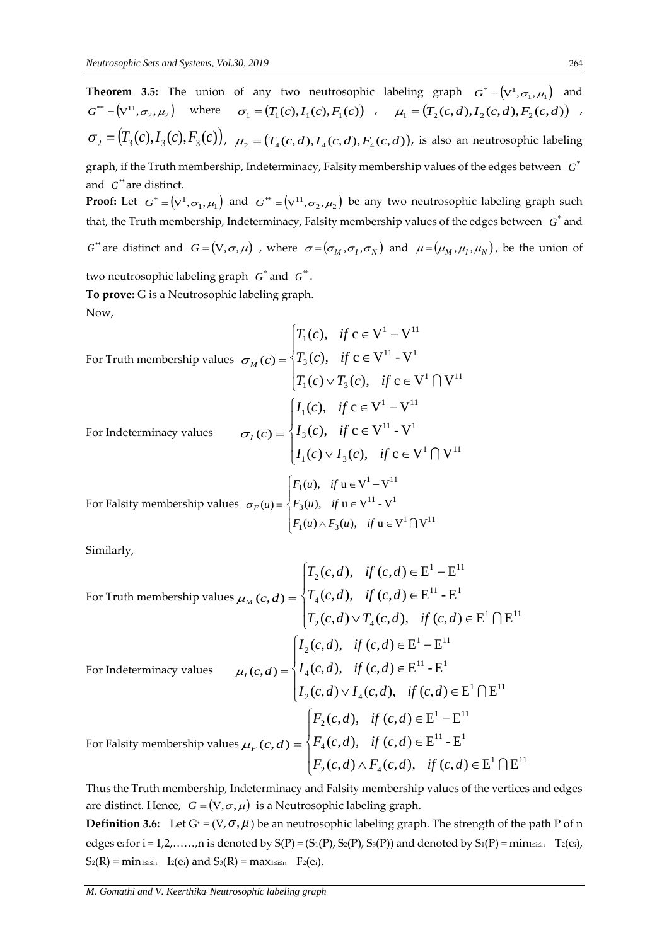**Theorem 3.5:** The union of any two neutrosophic labeling graph  $G^* = (V^1, \sigma_1, \mu_1)$  and  $G^* = (\nabla^{11}, \sigma_2, \mu_2)$  where  $\sigma_1 = (T_1(c), I_1(c), F_1(c))$ ,  $\mu_1 = (T_2(c, d), I_2(c, d), F_2(c, d))$ ,  $\sigma_2 = (T_3(c), I_3(c), F_3(c))$ ,  $\mu_2 = (T_4(c, d), I_4(c, d), F_4(c, d))$ , is also an neutrosophic labeling graph, if the Truth membership, Indeterminacy, Falsity membership values of the edges between  $\;G^*$ and  $G^*$  are distinct.

**Proof:** Let  $G^* = (V^1, \sigma_1, \mu_1)$  and  $G^{**} = (V^{11}, \sigma_2, \mu_2)$  be any two neutrosophic labeling graph such that, the Truth membership, Indeterminacy, Falsity membership values of the edges between  $|G^*|$  and

 $G^*$  are distinct and  $G = (V, \sigma, \mu)$ , where  $\sigma = (\sigma_M, \sigma_I, \sigma_N)$  and  $\mu = (\mu_M, \mu_I, \mu_N)$ , be the union of

two neutrosophic labeling graph  $|G^*|$  and  $|G^*|$ . **To prove:** G is a Neutrosophic labeling graph. Now,

For Truth membership values 
$$
\sigma_M(c) = \begin{cases} T_1(c), & \text{if } c \in V^1 - V^{11} \\ T_3(c), & \text{if } c \in V^{11} - V^1 \\ T_1(c) \vee T_3(c), & \text{if } c \in V^1 \cap V^{11} \end{cases}
$$
  
For Indeterminacy values  $\sigma_t(c) = \begin{cases} I_1(c), & \text{if } c \in V^1 - V^{11} \\ I_3(c), & \text{if } c \in V^{11} - V^1 \\ I_1(c) \vee I_3(c), & \text{if } c \in V^1 \cap V^{11} \end{cases}$   
For falsity membership values  $\sigma_F(u) = \begin{cases} F_1(u), & \text{if } u \in V^1 - V^{11} \\ F_3(u), & \text{if } u \in V^{11} - V^1 \\ F_1(u) \wedge F_3(u), & \text{if } u \in V^1 \cap V^{11} \end{cases}$ 

Similarly,

For Truth membership values 
$$
\mu_M(c,d) = \begin{cases} T_2(c,d), & \text{if } (c,d) \in E^1 - E^{11} \\ T_4(c,d), & \text{if } (c,d) \in E^{11} - E^1 \\ T_2(c,d) \vee T_4(c,d), & \text{if } (c,d) \in E^1 \cap E^{11} \end{cases}
$$
  
For Indeterminacy values 
$$
\mu_I(c,d) = \begin{cases} I_2(c,d), & \text{if } (c,d) \in E^1 - E^{11} \\ I_4(c,d), & \text{if } (c,d) \in E^{11} - E^1 \\ I_2(c,d) \vee I_4(c,d), & \text{if } (c,d) \in E^1 \cap E^{11} \end{cases}
$$
For Falsity membership values  $\mu_F(c,d) = \begin{cases} F_2(c,d), & \text{if } (c,d) \in E^1 - E^{11} \\ F_4(c,d), & \text{if } (c,d) \in E^{11} - E^1 \\ F_2(c,d) \wedge F_4(c,d), & \text{if } (c,d) \in E^1 \cap E^{11} \end{cases}$ 

Thus the Truth membership, Indeterminacy and Falsity membership values of the vertices and edges are distinct. Hence,  $\,G\!=\!\big({\rm V},\sigma,\mu\big)\,$  is a Neutrosophic labeling graph.

**Definition 3.6:** Let  $G^* = (V, \sigma, \mu)$  be an neutrosophic labeling graph. The strength of the path P of n edges ei for  $i = 1, 2, \ldots, n$  is denoted by  $S(P) = (S_1(P), S_2(P), S_3(P))$  and denoted by  $S_1(P) = \min_{1 \le i \le n} T_2(e_i)$ ,  $S_2(R) = \min_{1 \le i \le n} I_2(e_i)$  and  $S_3(R) = \max_{1 \le i \le n} F_2(e_i)$ .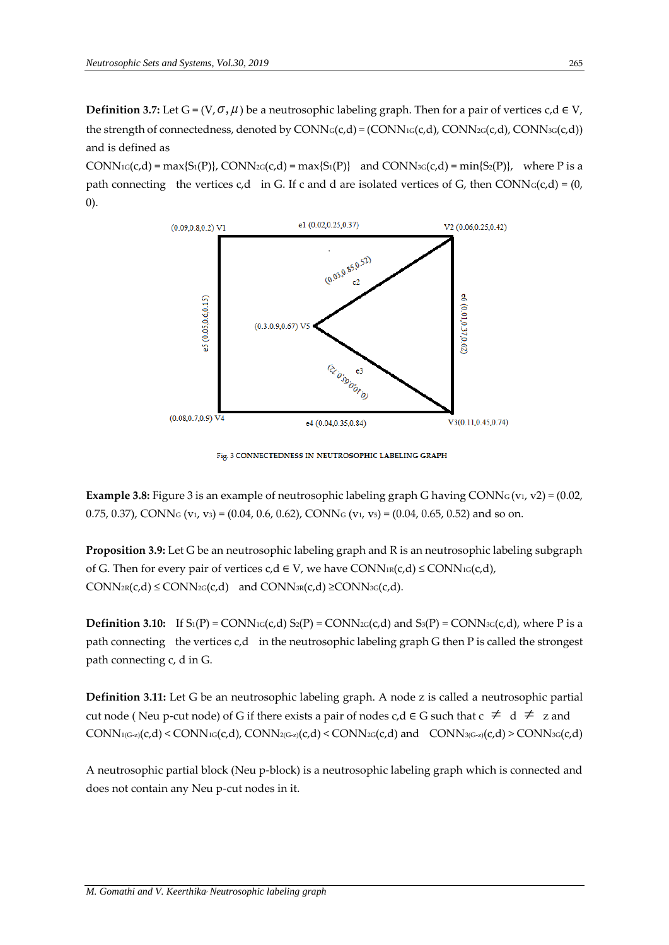**Definition 3.7:** Let  $G = (V, \sigma, \mu)$  be a neutrosophic labeling graph. Then for a pair of vertices  $c, d \in V$ , the strength of connectedness, denoted by  $\text{CONN}_G(c,d) = (\text{CONN}_G(c,d), \text{CONN}_G(c,d), \text{CONN}_G(c,d))$ and is defined as

 $CONN_{1G}(c,d) = \max\{S_1(P)\}\$ ,  $CONN_{2G}(c,d) = \max\{S_1(P)\}\$  and  $CONN_{3G}(c,d) = \min\{S_2(P)\}\$ , where P is a path connecting the vertices c,d in G. If c and d are isolated vertices of G, then CONN $G(c,d) = (0,$ 0).



Fig. 3 CONNECTEDNESS IN NEUTROSOPHIC LABELING GRAPH

**Example 3.8:** Figure 3 is an example of neutrosophic labeling graph G having CONN $_G$  ( $v_1$ ,  $v_2$ ) = (0.02, 0.75, 0.37), CONN<sub>G</sub> (v<sub>1</sub>, v<sub>3</sub>) = (0.04, 0.6, 0.62), CONN<sub>G</sub> (v<sub>1</sub>, v<sub>5</sub>) = (0.04, 0.65, 0.52) and so on.

**Proposition 3.9:** Let G be an neutrosophic labeling graph and R is an neutrosophic labeling subgraph of G. Then for every pair of vertices  $c, d \in V$ , we have  $CONN_{R}(c,d) \leq CONN_{1G}(c,d)$ ,  $CONN_{2R}(c,d) \leq CONN_{2G}(c,d)$  and  $CONN_{3R}(c,d) \geq CONN_{3G}(c,d)$ .

**Definition 3.10:** If  $S_1(P) = \text{CONN}_{1G}(c,d) S_2(P) = \text{CONN}_{2G}(c,d)$  and  $S_3(P) = \text{CONN}_{3G}(c,d)$ , where P is a path connecting the vertices c,d in the neutrosophic labeling graph G then P is called the strongest path connecting c, d in G.

**Definition 3.11:** Let G be an neutrosophic labeling graph. A node z is called a neutrosophic partial cut node (Neu p-cut node) of G if there exists a pair of nodes c,d ∈ G such that  $c \neq d \neq z$  and  $\text{CONN}_{1(G-z)}(c,d) \leq \text{CONN}_{1(G-z)}(c,d)$ ,  $\text{CONN}_{2(G-z)}(c,d) \leq \text{CONN}_{2(G-c)}(c,d)$  and  $\text{CONN}_{3(G-z)}(c,d) \geq \text{CONN}_{3(G-c)}(c,d)$ 

A neutrosophic partial block (Neu p-block) is a neutrosophic labeling graph which is connected and does not contain any Neu p-cut nodes in it.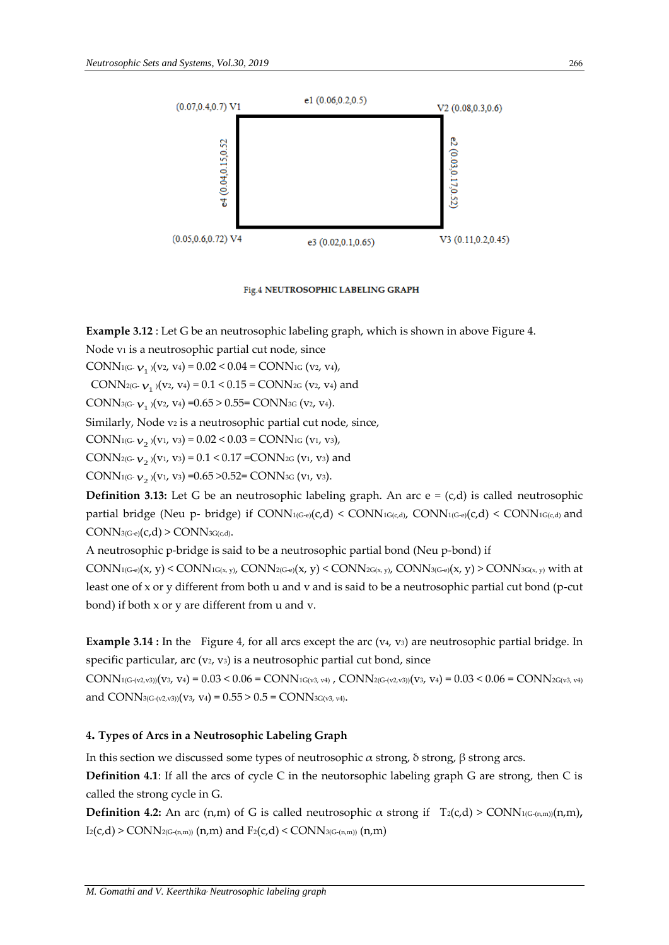

Fig.4 NEUTROSOPHIC LABELING GRAPH

**Example 3.12** : Let G be an neutrosophic labeling graph, which is shown in above Figure 4.

Node *v*<sup>1</sup> is a neutrosophic partial cut node, since

CONN<sub>1(G-  $v_1$ )(v<sub>2</sub>, v<sub>4</sub>) = 0.02 < 0.04 = CONN<sub>1G</sub> (v<sub>2</sub>, v<sub>4</sub>),</sub>

CONN<sub>2(G-  $v_1$ )(v<sub>2</sub>, v<sub>4</sub>) = 0.1 < 0.15 = CONN<sub>2G</sub> (v<sub>2</sub>, v<sub>4</sub>) and</sub>

CONN<sub>3(G-  $v_1$ )(v2, v4) = 0.65 > 0.55 = CONN<sub>3G</sub> (v2, v4).</sub>

Similarly, Node v<sub>2</sub> is a neutrosophic partial cut node, since,

CONN<sub>1(G-  $v_2$ )(v<sub>1</sub>, v<sub>3</sub>) = 0.02 < 0.03 = CONN<sub>1G</sub> (v<sub>1</sub>, v<sub>3</sub>),</sub>

CONN<sub>2(G-  $v_2$ )(v<sub>1</sub>, v<sub>3</sub>) = 0.1 < 0.17 = CONN<sub>2G</sub> (v<sub>1</sub>, v<sub>3</sub>) and</sub>

CONN1(G-  $v_{2}$  )(v1, v3) =0.65 >0.52= CONN3G (v1, v3).

**Definition 3.13:** Let G be an neutrosophic labeling graph. An arc  $e = (c,d)$  is called neutrosophic partial bridge (Neu p- bridge) if  $\text{CONN}_{1(G-e)}(c,d) < \text{CONN}_{1(G,e,d)}$ ,  $\text{CONN}_{1(G-e)}(c,d) < \text{CONN}_{1(G,c,d)}$  and  $CONN_{3(G-e)}(c,d)$  >  $CONN_{3G(c,d)}$ .

A neutrosophic p-bridge is said to be a neutrosophic partial bond (Neu p-bond) if

 $\text{CONN}_{1(G-e)}(x, y)$  <  $\text{CONN}_{1G(x, y)}$ ,  $\text{CONN}_{2(G-e)}(x, y)$  <  $\text{CONN}_{2G(x, y)}$ ,  $\text{CONN}_{3(G-e)}(x, y)$  >  $\text{CONN}_{3G(x, y)}$  with at least one of x or y different from both u and v and is said to be a neutrosophic partial cut bond (p-cut bond) if both x or y are different from u and v.

**Example 3.14 :** In the Figure 4, for all arcs except the arc (v<sub>4</sub>, v<sub>3</sub>) are neutrosophic partial bridge. In specific particular, arc  $(v_2, v_3)$  is a neutrosophic partial cut bond, since

 $\text{CONN}_{1(G\text{-}(v2,v3))}(v3,\ v4) = 0.03 < 0.06 = \text{CONN}_{1G\text{(v3, v4)}}$  ,  $\text{CONN}_{2(G\text{-}(v2,v3))}(v3,\ v4) = 0.03 < 0.06 = \text{CONN}_{2G\text{(v3, v4)}}$ and CONN<sub>3(G-(v2,v3))</sub>(v<sub>3</sub>, v<sub>4</sub>) =  $0.55 > 0.5$  = CONN<sub>3G(v3, v4)</sub>.

# **4. Types of Arcs in a Neutrosophic Labeling Graph**

In this section we discussed some types of neutrosophic α strong, δ strong, β strong arcs.

**Definition 4.1**: If all the arcs of cycle C in the neutorsophic labeling graph G are strong, then C is called the strong cycle in G.

**Definition 4.2:** An arc (n,m) of G is called neutrosophic  $\alpha$  strong if  $T_2(c,d)$  > CONN<sub>1(G-(n,m))</sub>(n,m),  $I_2(c,d)$  > CONN<sub>2(G-(n,m))</sub> (n,m) and  $F_2(c,d)$  < CONN<sub>3(G-(n,m))</sub> (n,m)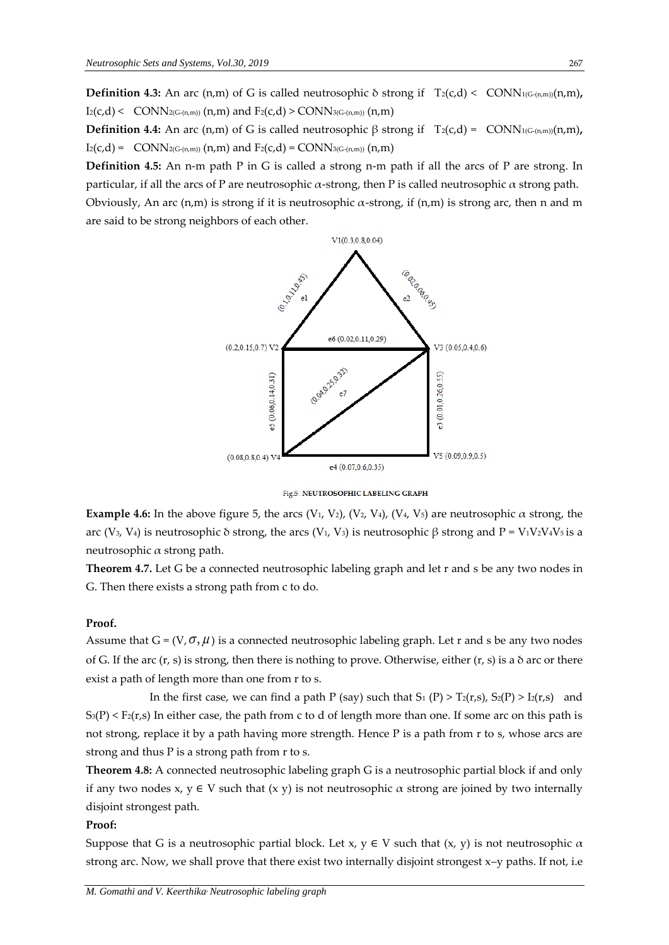**Definition 4.3:** An arc (n,m) of G is called neutrosophic  $\delta$  strong if  $T_2(c,d) < \text{CONN}_{1(G\text{-}(n,m))}(n,m)$ ,  $I_2(c,d)$  < CONN<sub>2(G-(n,m))</sub> (n,m) and  $F_2(c,d)$  > CONN<sub>3(G-(n,m))</sub> (n,m)

**Definition 4.4:** An arc (n,m) of G is called neutrosophic  $\beta$  strong if  $T_2(c,d) = \text{CONN}_{1(G-(n,m))}(n,m)$ ,  $I_2(c,d) = \text{CONN}_{2(G-(n,m))}(n,m)$  and  $F_2(c,d) = \text{CONN}_{3(G-(n,m))}(n,m)$ 

**Definition 4.5:** An n-m path P in G is called a strong n-m path if all the arcs of P are strong. In particular, if all the arcs of P are neutrosophic α-strong, then P is called neutrosophic α strong path. Obviously, An arc  $(n,m)$  is strong if it is neutrosophic  $\alpha$ -strong, if  $(n,m)$  is strong arc, then n and m are said to be strong neighbors of each other.



Fig.5 NEUTROSOPHIC LABELING GRAPH

**Example 4.6:** In the above figure 5, the arcs (V<sub>1</sub>, V<sub>2</sub>), (V<sub>2</sub>, V<sub>4</sub>), (V<sub>4</sub>, V<sub>5</sub>) are neutrosophic  $\alpha$  strong, the arc (V<sub>3</sub>, V<sub>4</sub>) is neutrosophic δ strong, the arcs (V<sub>1</sub>, V<sub>3</sub>) is neutrosophic β strong and P = V<sub>1</sub>V<sub>2</sub>V<sub>4</sub>V<sub>5</sub> is a neutrosophic α strong path.

**Theorem 4.7.** Let G be a connected neutrosophic labeling graph and let r and s be any two nodes in G. Then there exists a strong path from c to do.

### **Proof.**

Assume that  $G = (V, \sigma, \mu)$  is a connected neutrosophic labeling graph. Let r and s be any two nodes of G. If the arc  $(r, s)$  is strong, then there is nothing to prove. Otherwise, either  $(r, s)$  is a  $\delta$  arc or there exist a path of length more than one from r to s.

In the first case, we can find a path P (say) such that S<sub>1</sub> (P) > T<sub>2</sub>(r,s), S<sub>2</sub>(P) > I<sub>2</sub>(r,s) and  $S_3(P) \le F_2(r,s)$  In either case, the path from c to d of length more than one. If some arc on this path is not strong, replace it by a path having more strength. Hence P is a path from r to s, whose arcs are strong and thus P is a strong path from r to s.

**Theorem 4.8:** A connected neutrosophic labeling graph G is a neutrosophic partial block if and only if any two nodes x,  $y \in V$  such that  $(x, y)$  is not neutrosophic  $\alpha$  strong are joined by two internally disjoint strongest path.

### **Proof:**

Suppose that G is a neutrosophic partial block. Let x,  $y \in V$  such that  $(x, y)$  is not neutrosophic  $\alpha$ strong arc. Now, we shall prove that there exist two internally disjoint strongest x–y paths. If not, i.e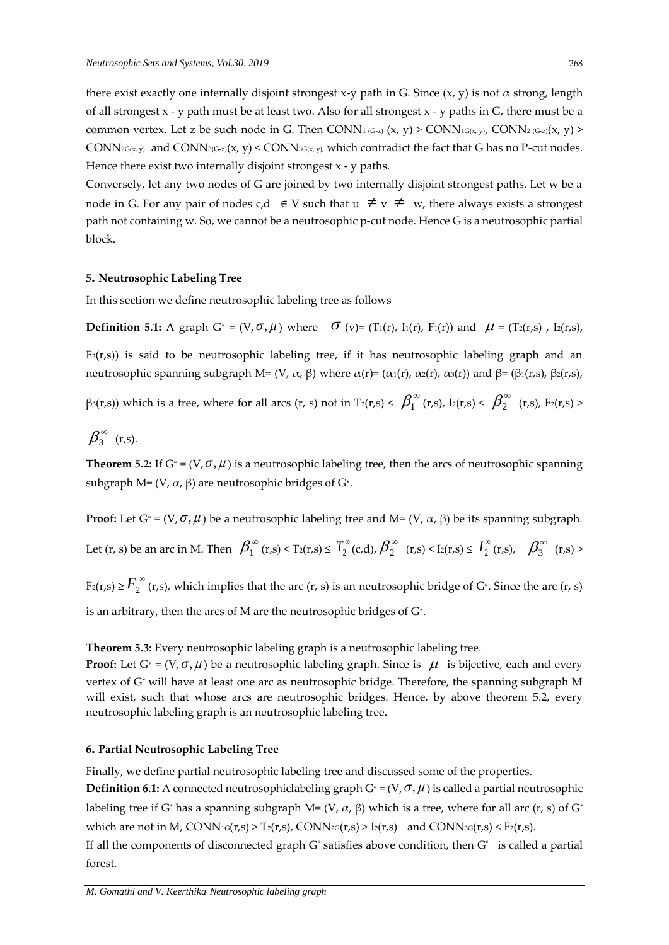there exist exactly one internally disjoint strongest x-y path in G. Since  $(x, y)$  is not  $\alpha$  strong, length of all strongest  $x - y$  path must be at least two. Also for all strongest  $x - y$  paths in  $G$ , there must be a common vertex. Let z be such node in G. Then CONN<sub>1 (G-z)</sub> (x, y) > CONN<sub>1G(x, y)</sub>, CONN<sub>2 (G-z)</sub>(x, y) >  $CONN_{2G(x, y)}$  and  $CONN_{3G-z}(x, y) < CONN_{3G(x, y)}$ , which contradict the fact that G has no P-cut nodes. Hence there exist two internally disjoint strongest x - y paths.

Conversely, let any two nodes of G are joined by two internally disjoint strongest paths. Let w be a node in G. For any pair of nodes  $c,d \in V$  such that  $u \neq v \neq w$ , there always exists a strongest path not containing w. So, we cannot be a neutrosophic p-cut node. Hence G is a neutrosophic partial block.

### **5. Neutrosophic Labeling Tree**

In this section we define neutrosophic labeling tree as follows

**Definition 5.1:** A graph  $G^* = (V, \sigma, \mu)$  where  $\sigma$  (v)= (T<sub>1</sub>(r), I<sub>1</sub>(r), F<sub>1</sub>(r)) and  $\mu = (T_2(r,s)$ , I<sub>2</sub>(r,s),

 $F_2(r,s)$ ) is said to be neutrosophic labeling tree, if it has neutrosophic labeling graph and an neutrosophic spanning subgraph M= (V, α, β) where  $\alpha(r) = (\alpha_1(r), \alpha_2(r), \alpha_3(r))$  and  $\beta = (\beta_1(r,s), \beta_2(r,s), \alpha_3(r))$ 

β3(r,s)) which is a tree, where for all arcs (r, s) not in T2(r,s) <  $\beta_1^{\infty}$  (r,s), I2(r,s) <  $\beta_2^{\infty}$  (r,s), F2(r,s) >

$$
\beta_3^{\infty} \ \ (\mathrm{r},\mathrm{s}).
$$

**Theorem 5.2:** If  $G^* = (V, \sigma, \mu)$  is a neutrosophic labeling tree, then the arcs of neutrosophic spanning subgraph M= (V,  $\alpha$ ,  $\beta$ ) are neutrosophic bridges of G\*.

**Proof:** Let  $G^* = (V, \sigma, \mu)$  be a neutrosophic labeling tree and M=  $(V, \alpha, \beta)$  be its spanning subgraph.

Let 
$$
(r, s)
$$
 be an arc in M. Then  $\beta_1^{\infty}(r,s) < T_2(r,s) \leq T_2^{\infty}(c,d), \beta_2^{\infty}(r,s) < I_2(r,s) \leq T_2^{\infty}(r,s), \beta_3^{\infty}(r,s) >$ 

 $F_2(r,s) \geq \overline{F}_2^\infty$  (r,s), which implies that the arc (r, s) is an neutrosophic bridge of G\*. Since the arc (r, s) is an arbitrary, then the arcs of M are the neutrosophic bridges of G<sup>∗</sup> .

**Theorem 5.3:** Every neutrosophic labeling graph is a neutrosophic labeling tree.

**Proof:** Let  $G^* = (V, \sigma, \mu)$  be a neutrosophic labeling graph. Since is  $\mu$  is bijective, each and every vertex of G\* will have at least one arc as neutrosophic bridge. Therefore, the spanning subgraph M will exist, such that whose arcs are neutrosophic bridges. Hence, by above theorem 5.2, every neutrosophic labeling graph is an neutrosophic labeling tree.

### **6. Partial Neutrosophic Labeling Tree**

Finally, we define partial neutrosophic labeling tree and discussed some of the properties.

**Definition 6.1:** A connected neutrosophiclabeling graph G\* =  $(V, \sigma, \mu)$  is called a partial neutrosophic labeling tree if G<sup>\*</sup> has a spanning subgraph M= (V,  $\alpha$ ,  $\beta$ ) which is a tree, where for all arc (r, s) of G<sup>\*</sup> which are not in M,  $CONN_1G(r,s) > T_2(r,s)$ ,  $CONN_2G(r,s) > I_2(r,s)$  and  $CONN_3G(r,s) < F_2(r,s)$ .

If all the components of disconnected graph  $G^*$  satisfies above condition, then  $G^*$  is called a partial forest.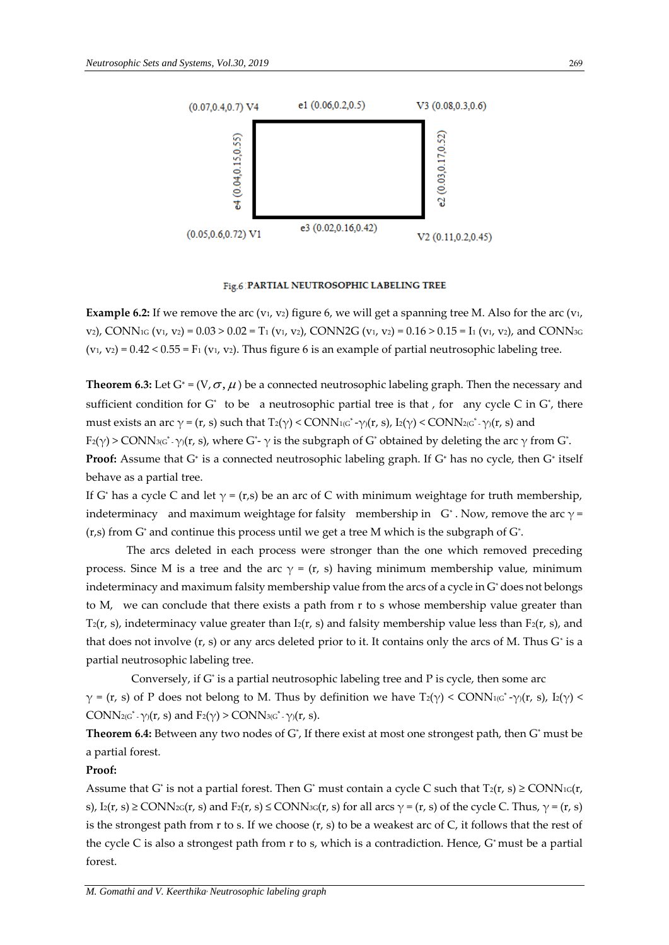

#### Fig.6 PARTIAL NEUTROSOPHIC LABELING TREE

**Example 6.2:** If we remove the arc (v<sub>1</sub>, v<sub>2</sub>) figure 6, we will get a spanning tree M. Also for the arc (v<sub>1</sub>, v2), CONN<sub>1G</sub> (v<sub>1</sub>, v<sub>2</sub>) = 0.03 > 0.02 = T<sub>1</sub> (v<sub>1</sub>, v<sub>2</sub>), CONN2G (v<sub>1</sub>, v<sub>2</sub>) = 0.16 > 0.15 = I<sub>1</sub> (v<sub>1</sub>, v<sub>2</sub>), and CONN<sub>3G</sub>  $(v_1, v_2) = 0.42 < 0.55 = F_1 (v_1, v_2)$ . Thus figure 6 is an example of partial neutrosophic labeling tree.

**Theorem 6.3:** Let  $G^* = (V, \sigma, \mu)$  be a connected neutrosophic labeling graph. Then the necessary and sufficient condition for  $G^*$  to be a neutrosophic partial tree is that, for any cycle C in  $G^*$ , there must exists an arc  $\gamma$  = (r, s) such that T<sub>2</sub>( $\gamma$ ) < CONN<sub>1(G</sub><sup>\*</sup> -γ)(r, s), I<sub>2</sub>( $\gamma$ ) < CONN<sub>2(G</sub><sup>\*</sup> -γ)(r, s) and

F2(γ) > CONN3(g\* - γ)(r, s), where G\*- γ is the subgraph of G\* obtained by deleting the arc γ from G\*. **Proof:** Assume that G<sup>∗</sup> is a connected neutrosophic labeling graph. If G<sup>∗</sup> has no cycle, then G<sup>∗</sup> itself behave as a partial tree.

If G\* has a cycle C and let  $\gamma = (r,s)$  be an arc of C with minimum weightage for truth membership, indeterminacy and maximum weightage for falsity membership in  $\,$  G $\,$  . Now, remove the arc  $\gamma$  = (r,s) from G $^*$  and continue this process until we get a tree M which is the subgraph of G $^*$ .

The arcs deleted in each process were stronger than the one which removed preceding process. Since M is a tree and the arc  $\gamma = (r, s)$  having minimum membership value, minimum indeterminacy and maximum falsity membership value from the arcs of a cycle in G\* does not belongs to M, we can conclude that there exists a path from r to s whose membership value greater than  $T_2(r, s)$ , indeterminacy value greater than I<sub>2</sub>(r, s) and falsity membership value less than F<sub>2</sub>(r, s), and that does not involve (r, s) or any arcs deleted prior to it. It contains only the arcs of M. Thus G\* is a partial neutrosophic labeling tree.

Conversely, if G\* is a partial neutrosophic labeling tree and P is cycle, then some arc  $\gamma$  = (r, s) of P does not belong to M. Thus by definition we have T<sub>2</sub>( $\gamma$ ) < CONN<sub>1(G</sub>\* - $\gamma$ )(r, s), I<sub>2</sub>( $\gamma$ ) < CONN2(G<sup>\*</sup> -  $\gamma$ )(r, s) and F2( $\gamma$ ) > CONN3(G<sup>\*</sup> -  $\gamma$ )(r, s).

**Theorem 6.4:** Between any two nodes of G\* , If there exist at most one strongest path, then G\* must be a partial forest.

### **Proof:**

Assume that G<sup>\*</sup> is not a partial forest. Then G<sup>\*</sup> must contain a cycle C such that T<sub>2</sub>(r, s)  $\geq$  CONN<sub>1G</sub>(r, s),  $I_2(r, s) \geq \text{CONN}_{2}r(r, s)$  and  $F_2(r, s) \leq \text{CONN}_{3}r(r, s)$  for all arcs  $\gamma = (r, s)$  of the cycle C. Thus,  $\gamma = (r, s)$ is the strongest path from r to s. If we choose  $(r, s)$  to be a weakest arc of C, it follows that the rest of the cycle C is also a strongest path from r to s, which is a contradiction. Hence, G\* must be a partial forest.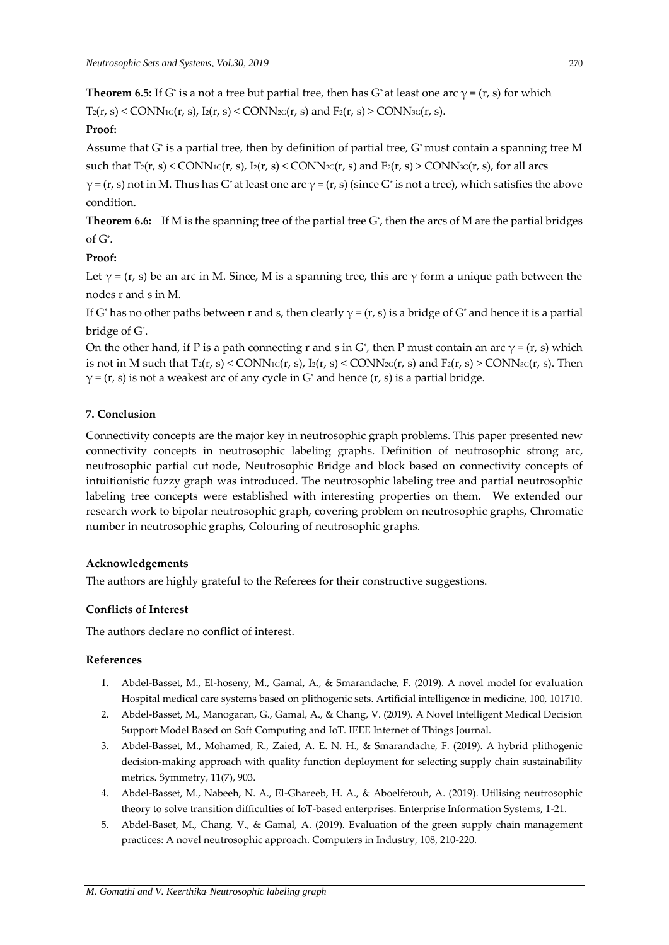**Theorem 6.5:** If G<sup>\*</sup> is a not a tree but partial tree, then has G<sup>\*</sup> at least one arc  $\gamma$  = (r, s) for which  $T_2(r, s)$  < CONN<sub>1G</sub>(r, s),  $I_2(r, s)$  < CONN<sub>2G</sub>(r, s) and  $F_2(r, s)$  > CONN<sub>3G</sub>(r, s).

# **Proof:**

Assume that G\* is a partial tree, then by definition of partial tree, G\* must contain a spanning tree M such that  $T_2(r, s) <$  CONN<sub>1G</sub> $(r, s)$ ,  $I_2(r, s) <$  CONN<sub>2G</sub> $(r, s)$  and  $F_2(r, s) >$  CONN<sub>3G</sub> $(r, s)$ , for all arcs

 $\gamma$  = (r, s) not in M. Thus has G\* at least one arc  $\gamma$  = (r, s) (since G\* is not a tree), which satisfies the above condition.

**Theorem 6.6:** If M is the spanning tree of the partial tree G\* , then the arcs of M are the partial bridges of G\* .

# **Proof:**

Let  $\gamma$  = (r, s) be an arc in M. Since, M is a spanning tree, this arc  $\gamma$  form a unique path between the nodes r and s in M.

If G\* has no other paths between r and s, then clearly  $\gamma$  = (r, s) is a bridge of G\* and hence it is a partial bridge of G\* .

On the other hand, if P is a path connecting r and s in G\*, then P must contain an arc  $\gamma$  = (r, s) which is not in M such that  $T_2(r, s) <$  CONN<sub>1G</sub> $(r, s)$ ,  $I_2(r, s) <$  CONN<sub>2G</sub> $(r, s)$  and  $F_2(r, s) >$  CONN<sub>3G</sub> $(r, s)$ . Then  $\gamma$  = (r, s) is not a weakest arc of any cycle in G<sup>\*</sup> and hence (r, s) is a partial bridge.

# **7. Conclusion**

Connectivity concepts are the major key in neutrosophic graph problems. This paper presented new connectivity concepts in neutrosophic labeling graphs. Definition of neutrosophic strong arc, neutrosophic partial cut node, Neutrosophic Bridge and block based on connectivity concepts of intuitionistic fuzzy graph was introduced. The neutrosophic labeling tree and partial neutrosophic labeling tree concepts were established with interesting properties on them. We extended our research work to bipolar neutrosophic graph, covering problem on neutrosophic graphs, Chromatic number in neutrosophic graphs, Colouring of neutrosophic graphs.

# **Acknowledgements**

The authors are highly grateful to the Referees for their constructive suggestions.

# **Conflicts of Interest**

The authors declare no conflict of interest.

# **References**

- 1. Abdel-Basset, M., El-hoseny, M., Gamal, A., & Smarandache, F. (2019). A novel model for evaluation Hospital medical care systems based on plithogenic sets. Artificial intelligence in medicine, 100, 101710.
- 2. Abdel-Basset, M., Manogaran, G., Gamal, A., & Chang, V. (2019). A Novel Intelligent Medical Decision Support Model Based on Soft Computing and IoT. IEEE Internet of Things Journal.
- 3. Abdel-Basset, M., Mohamed, R., Zaied, A. E. N. H., & Smarandache, F. (2019). A hybrid plithogenic decision-making approach with quality function deployment for selecting supply chain sustainability metrics. Symmetry, 11(7), 903.
- 4. Abdel-Basset, M., Nabeeh, N. A., El-Ghareeb, H. A., & Aboelfetouh, A. (2019). Utilising neutrosophic theory to solve transition difficulties of IoT-based enterprises. Enterprise Information Systems, 1-21.
- 5. Abdel-Baset, M., Chang, V., & Gamal, A. (2019). Evaluation of the green supply chain management practices: A novel neutrosophic approach. Computers in Industry, 108, 210-220.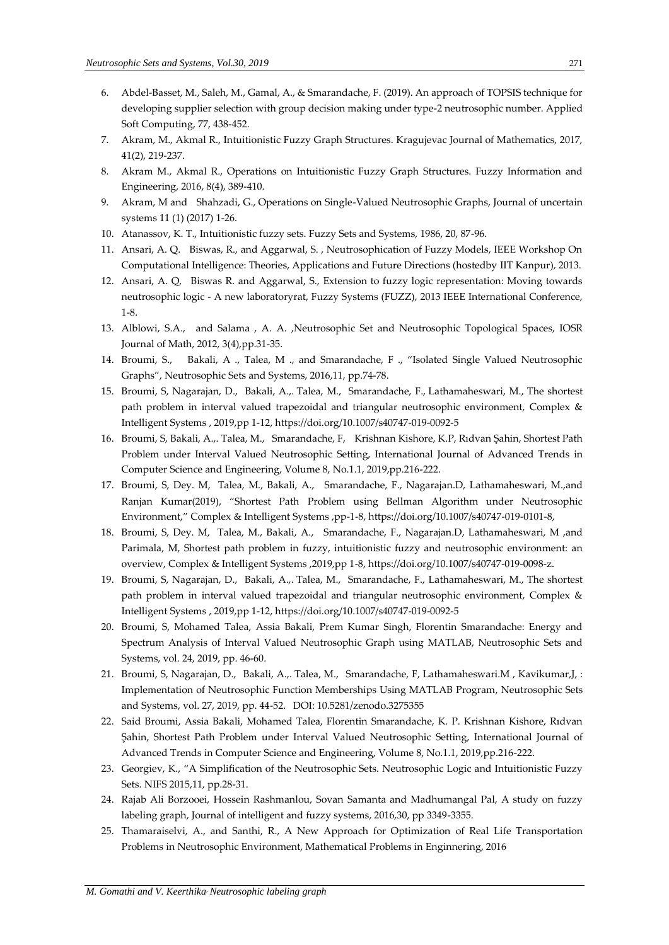- 6. Abdel-Basset, M., Saleh, M., Gamal, A., & Smarandache, F. (2019). An approach of TOPSIS technique for developing supplier selection with group decision making under type-2 neutrosophic number. Applied Soft Computing, 77, 438-452.
- 7. Akram, M., Akmal R., Intuitionistic Fuzzy Graph Structures. Kragujevac Journal of Mathematics, 2017, 41(2), 219-237.
- 8. Akram M., Akmal R., Operations on Intuitionistic Fuzzy Graph Structures. Fuzzy Information and Engineering, 2016, 8(4), 389-410.
- 9. Akram, M and Shahzadi, G., Operations on Single-Valued Neutrosophic Graphs, Journal of uncertain systems 11 (1) (2017) 1-26.
- 10. Atanassov, K. T., Intuitionistic fuzzy sets. Fuzzy Sets and Systems, 1986, 20, 87-96.
- 11. Ansari, A. Q. Biswas, R., and Aggarwal, S. , Neutrosophication of Fuzzy Models, IEEE Workshop On Computational Intelligence: Theories, Applications and Future Directions (hostedby IIT Kanpur), 2013.
- 12. Ansari, A. Q, Biswas R. and Aggarwal, S., Extension to fuzzy logic representation: Moving towards neutrosophic logic - A new laboratoryrat, Fuzzy Systems (FUZZ), 2013 IEEE International Conference, 1-8.
- 13. Alblowi, S.A., and Salama , A. A. ,Neutrosophic Set and Neutrosophic Topological Spaces, IOSR Journal of Math, 2012, 3(4),pp.31-35.
- 14. Broumi, S., Bakali, A ., Talea, M ., and Smarandache, F ., "Isolated Single Valued Neutrosophic Graphs", Neutrosophic Sets and Systems, 2016,11, pp.74-78.
- 15. Broumi, S, Nagarajan, D., Bakali, A.,. Talea, M., Smarandache, F., Lathamaheswari, M., The shortest path problem in interval valued trapezoidal and triangular neutrosophic environment, Complex & Intelligent Systems , 2019,pp 1-12,<https://doi.org/10.1007/s40747-019-0092-5>
- 16. Broumi, S, Bakali, A.,. Talea, M., Smarandache, F, Krishnan Kishore, K.P, Rıdvan Şahin, Shortest Path Problem under Interval Valued Neutrosophic Setting, International Journal of Advanced Trends in Computer Science and Engineering, Volume 8, No.1.1, 2019,pp.216-222.
- 17. Broumi, S, Dey. M, Talea, M., Bakali, A., Smarandache, F., Nagarajan.D, Lathamaheswari, M.,and Ranjan Kumar(2019), "Shortest Path Problem using Bellman Algorithm under Neutrosophic Environment," Complex & Intelligent Systems ,pp-1-8, https://doi.org/10.1007/s40747-019-0101-8,
- 18. Broumi, S, Dey. M, Talea, M., Bakali, A., Smarandache, F., Nagarajan.D, Lathamaheswari, M ,and Parimala, M, Shortest path problem in fuzzy, intuitionistic fuzzy and neutrosophic environment: an overview, Complex & Intelligent Systems ,2019,pp 1-8, https://doi.org/10.1007/s40747-019-0098-z.
- 19. Broumi, S, Nagarajan, D., Bakali, A.,. Talea, M., Smarandache, F., Lathamaheswari, M., The shortest path problem in interval valued trapezoidal and triangular neutrosophic environment, Complex & Intelligent Systems , 2019,pp 1-12,<https://doi.org/10.1007/s40747-019-0092-5>
- 20. Broumi, S, Mohamed Talea, Assia Bakali, Prem Kumar Singh, Florentin Smarandache: Energy and Spectrum Analysis of Interval Valued Neutrosophic Graph using MATLAB, Neutrosophic Sets and Systems, vol. 24, 2019, pp. 46-60.
- 21. Broumi, S, Nagarajan, D., Bakali, A.,. Talea, M., Smarandache, F, Lathamaheswari.M , Kavikumar,J, : [Implementation of Neutrosophic Function Memberships Using MATLAB Program,](http://fs.unm.edu/NSS/Implementation%20of%20Neutrosophic%20Function.pdf) Neutrosophic Sets and Systems, vol. 27, 2019, pp. 44-52. DOI[: 10.5281/zenodo.3275355](https://zenodo.org/record/3275355)
- 22. Said Broumi, Assia Bakali, Mohamed Talea, Florentin Smarandache, K. P. Krishnan Kishore, Rıdvan Şahin, Shortest Path Problem under Interval Valued Neutrosophic Setting, International Journal of Advanced Trends in Computer Science and Engineering, Volume 8, No.1.1, 2019,pp.216-222.
- 23. Georgiev, K., "A Simplification of the Neutrosophic Sets. Neutrosophic Logic and Intuitionistic Fuzzy Sets. NIFS 2015,11, pp.28-31.
- 24. Rajab Ali Borzooei, Hossein Rashmanlou, Sovan Samanta and Madhumangal Pal, A study on fuzzy labeling graph, Journal of intelligent and fuzzy systems, 2016,30, pp 3349-3355.
- 25. Thamaraiselvi, A., and Santhi, R., A New Approach for Optimization of Real Life Transportation Problems in Neutrosophic Environment, Mathematical Problems in Enginnering, 2016